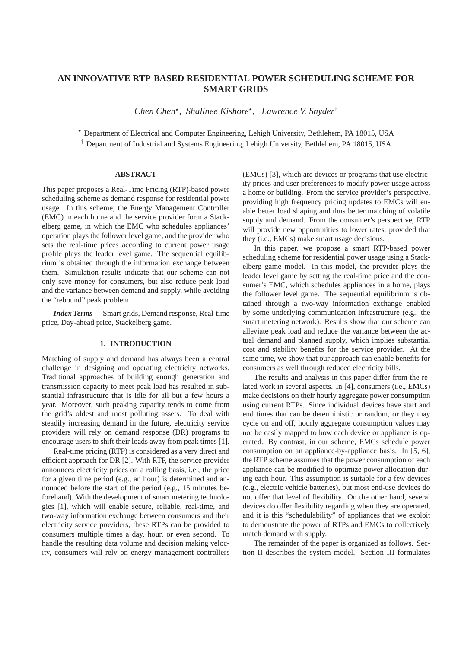# **AN INNOVATIVE RTP-BASED RESIDENTIAL POWER SCHEDULING SCHEME FOR SMART GRIDS**

*Chen Chen*<sup>⋆</sup> *, Shalinee Kishore*<sup>⋆</sup> *, Lawrence V. Snyder*†

<sup>⋆</sup> Department of Electrical and Computer Engineering, Lehigh University, Bethlehem, PA 18015, USA † Department of Industrial and Systems Engineering, Lehigh University, Bethlehem, PA 18015, USA

### **ABSTRACT**

This paper proposes a Real-Time Pricing (RTP)-based power scheduling scheme as demand response for residential power usage. In this scheme, the Energy Management Controller (EMC) in each home and the service provider form a Stackelberg game, in which the EMC who schedules appliances' operation plays the follower level game, and the provider who sets the real-time prices according to current power usage profile plays the leader level game. The sequential equilibrium is obtained through the information exchange between them. Simulation results indicate that our scheme can not only save money for consumers, but also reduce peak load and the variance between demand and supply, while avoiding the "rebound" peak problem.

*Index Terms***—** Smart grids, Demand response, Real-time price, Day-ahead price, Stackelberg game.

### **1. INTRODUCTION**

Matching of supply and demand has always been a central challenge in designing and operating electricity networks. Traditional approaches of building enough generation and transmission capacity to meet peak load has resulted in substantial infrastructure that is idle for all but a few hours a year. Moreover, such peaking capacity tends to come from the grid's oldest and most polluting assets. To deal with steadily increasing demand in the future, electricity service providers will rely on demand response (DR) programs to encourage users to shift their loads away from peak times [1].

Real-time pricing (RTP) is considered as a very direct and efficient approach for DR [2]. With RTP, the service provider announces electricity prices on a rolling basis, i.e., the price for a given time period (e.g., an hour) is determined and announced before the start of the period (e.g., 15 minutes beforehand). With the development of smart metering technologies [1], which will enable secure, reliable, real-time, and two-way information exchange between consumers and their electricity service providers, these RTPs can be provided to consumers multiple times a day, hour, or even second. To handle the resulting data volume and decision making velocity, consumers will rely on energy management controllers (EMCs) [3], which are devices or programs that use electricity prices and user preferences to modify power usage across a home or building. From the service provider's perspective, providing high frequency pricing updates to EMCs will enable better load shaping and thus better matching of volatile supply and demand. From the consumer's perspective, RTP will provide new opportunities to lower rates, provided that they (i.e., EMCs) make smart usage decisions.

In this paper, we propose a smart RTP-based power scheduling scheme for residential power usage using a Stackelberg game model. In this model, the provider plays the leader level game by setting the real-time price and the consumer's EMC, which schedules appliances in a home, plays the follower level game. The sequential equilibrium is obtained through a two-way information exchange enabled by some underlying communication infrastructure (e.g., the smart metering network). Results show that our scheme can alleviate peak load and reduce the variance between the actual demand and planned supply, which implies substantial cost and stability benefits for the service provider. At the same time, we show that our approach can enable benefits for consumers as well through reduced electricity bills.

The results and analysis in this paper differ from the related work in several aspects. In [4], consumers (i.e., EMCs) make decisions on their hourly aggregate power consumption using current RTPs. Since individual devices have start and end times that can be deterministic or random, or they may cycle on and off, hourly aggregate consumption values may not be easily mapped to how each device or appliance is operated. By contrast, in our scheme, EMCs schedule power consumption on an appliance-by-appliance basis. In [5, 6], the RTP scheme assumes that the power consumption of each appliance can be modified to optimize power allocation during each hour. This assumption is suitable for a few devices (e.g., electric vehicle batteries), but most end-use devices do not offer that level of flexibility. On the other hand, several devices do offer flexibility regarding when they are operated, and it is this "schedulability" of appliances that we exploit to demonstrate the power of RTPs and EMCs to collectively match demand with supply.

The remainder of the paper is organized as follows. Section II describes the system model. Section III formulates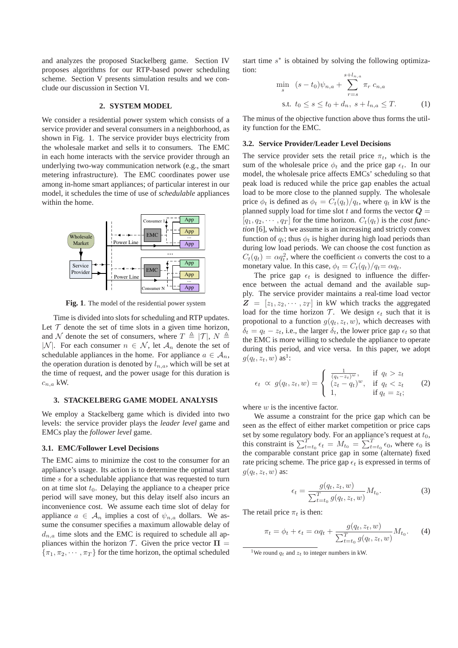and analyzes the proposed Stackelberg game. Section IV proposes algorithms for our RTP-based power scheduling scheme. Section V presents simulation results and we conclude our discussion in Section VI.

# **2. SYSTEM MODEL**

We consider a residential power system which consists of a service provider and several consumers in a neighborhood, as shown in Fig. 1. The service provider buys electricity from the wholesale market and sells it to consumers. The EMC in each home interacts with the service provider through an underlying two-way communication network (e.g., the smart metering infrastructure). The EMC coordinates power use among in-home smart appliances; of particular interest in our model, it schedules the time of use of *schedulable* appliances within the home.



**Fig. 1**. The model of the residential power system

Time is divided into slots for scheduling and RTP updates. Let  $T$  denote the set of time slots in a given time horizon, and N denote the set of consumers, where  $T \triangleq |\mathcal{T}|$ ,  $N \triangleq$ |N|. For each consumer  $n \in \mathcal{N}$ , let  $\mathcal{A}_n$  denote the set of schedulable appliances in the home. For appliance  $a \in A_n$ , the operation duration is denoted by  $l_{n,a}$ , which will be set at the time of request, and the power usage for this duration is  $c_{n,a}$  kW.

### **3. STACKELBERG GAME MODEL ANALYSIS**

We employ a Stackelberg game which is divided into two levels: the service provider plays the *leader level* game and EMCs play the *follower level* game.

### **3.1. EMC/Follower Level Decisions**

The EMC aims to minimize the cost to the consumer for an appliance's usage. Its action is to determine the optimal start time s for a schedulable appliance that was requested to turn on at time slot  $t_0$ . Delaying the appliance to a cheaper price period will save money, but this delay itself also incurs an inconvenience cost. We assume each time slot of delay for appliance  $a \in A_n$  implies a cost of  $\psi_{n,a}$  dollars. We assume the consumer specifies a maximum allowable delay of  $d_{n,a}$  time slots and the EMC is required to schedule all appliances within the horizon T. Given the price vector  $\Pi$  =  $\{\pi_1, \pi_2, \cdots, \pi_T\}$  for the time horizon, the optimal scheduled

start time  $s^*$  is obtained by solving the following optimization:

$$
\min_{s} \quad (s - t_0)\psi_{n,a} + \sum_{r=s}^{s+l_{n,a}} \pi_r \ c_{n,a}
$$
\n
$$
\text{s.t. } t_0 \le s \le t_0 + d_n, \ s + l_{n,a} \le T. \tag{1}
$$

The minus of the objective function above thus forms the utility function for the EMC.

### **3.2. Service Provider/Leader Level Decisions**

The service provider sets the retail price  $\pi_t$ , which is the sum of the wholesale price  $\phi_t$  and the price gap  $\epsilon_t$ . In our model, the wholesale price affects EMCs' scheduling so that peak load is reduced while the price gap enables the actual load to be more close to the planned supply. The wholesale price  $\phi_t$  is defined as  $\phi_t = C_t(q_t)/q_t$ , where  $q_t$  in kW is the planned supply load for time slot t and forms the vector  $Q =$  $[q_1, q_2, \cdots, q_T]$  for the time horizon.  $C_t(q_t)$  is the *cost function* [6], which we assume is an increasing and strictly convex function of  $q_t$ ; thus  $\phi_t$  is higher during high load periods than during low load periods. We can choose the cost function as  $C_t(q_t) = \alpha q_t^2$ , where the coefficient  $\alpha$  converts the cost to a monetary value. In this case,  $\phi_t = C_t(q_t)/q_t = \alpha q_t$ .

The price gap  $\epsilon_t$  is designed to influence the difference between the actual demand and the available supply. The service provider maintains a real-time load vector  $\mathbf{Z} = [z_1, z_2, \cdots, z_T]$  in kW which tracks the aggregated load for the time horizon  $\mathcal{T}$ . We design  $\epsilon_t$  such that it is propotional to a function  $g(q_t, z_t, w)$ , which decreases with  $\delta_t = q_t - z_t$ , i.e., the larger  $\delta_t$ , the lower price gap  $\epsilon_t$  so that the EMC is more willing to schedule the appliance to operate during this period, and vice versa. In this paper, we adopt  $g(q_t, z_t, w)$  as<sup>1</sup>:

$$
\epsilon_t \propto g(q_t, z_t, w) = \begin{cases} \frac{1}{(q_t - z_t)^w}, & \text{if } q_t > z_t \\ (z_t - q_t)^w, & \text{if } q_t < z_t \\ 1, & \text{if } q_t = z_t; \end{cases}
$$
 (2)

where  $w$  is the incentive factor.

We assume a constraint for the price gap which can be seen as the effect of either market competition or price caps set by some regulatory body. For an appliance's request at  $t_0$ , this constraint is  $\sum_{t=t_0}^{T} \epsilon_t = M_{t_0} = \sum_{t=t_0}^{T} \epsilon_0$ , where  $\epsilon_0$  is the comparable constant price gap in some (alternate) fixed rate pricing scheme. The price gap  $\epsilon_t$  is expressed in terms of  $g(q_t, z_t, w)$  as:

$$
\epsilon_t = \frac{g(q_t, z_t, w)}{\sum_{t=t_0}^{T} g(q_t, z_t, w)} M_{t_0}.
$$
\n(3)

The retail price  $\pi_t$  is then:

$$
\pi_t = \phi_t + \epsilon_t = \alpha q_t + \frac{g(q_t, z_t, w)}{\sum_{t=t_0}^{T} g(q_t, z_t, w)} M_{t_0}.
$$
 (4)

<sup>&</sup>lt;sup>1</sup>We round  $q_t$  and  $z_t$  to integer numbers in kW.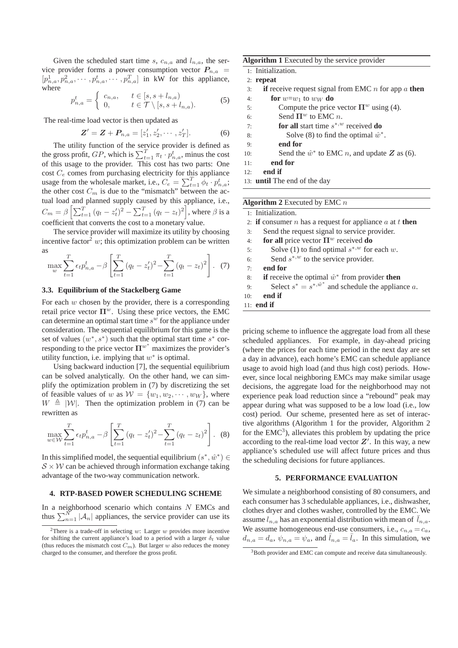Given the scheduled start time s,  $c_{n,a}$  and  $l_{n,a}$ , the service provider forms a power consumption vector  $P_{n,a}$  $[p_{n,a}^1, p_{n,a}^2, \cdots, p_{n,a}^t, \cdots, p_{n,a}^T]$  in kW for this appliance, where

$$
p_{n,a}^t = \begin{cases} c_{n,a}, & t \in [s, s + l_{n,a}) \\ 0, & t \in \mathcal{T} \setminus [s, s + l_{n,a}). \end{cases}
$$
(5)

The real-time load vector is then updated as

$$
Z' = Z + P_{n,a} = [z'_1, z'_2, \cdots, z'_T].
$$
 (6)

The utility function of the service provider is defined as the gross profit,  $GP$ , which is  $\sum_{t=1}^{T} \pi_t \cdot p_{n,a}^t$ , minus the cost of this usage to the provider. This cost has two parts: One cost  $C_e$  comes from purchasing electricity for this appliance usage from the wholesale market, i.e.,  $C_e = \sum_{t=1}^{T} \phi_t \cdot p_{n,a}^t$ ; the other cost  $C_m$  is due to the "mismatch" between the actual load and planned supply caused by this appliance, i.e.,  $C_m = \beta \left[ \sum_{t=1}^{T} (q_t - z_t')^2 - \sum_{t=1}^{T} (q_t - z_t)^2 \right]$ , where  $\beta$  is a coefficient that converts the cost to a monetary value.

The service provider will maximize its utility by choosing incentive factor<sup>2</sup> w; this optimization problem can be written as

$$
\max_{w} \sum_{t=1}^{T} \epsilon_t p_{n,a}^t - \beta \left[ \sum_{t=1}^{T} (q_t - z_t')^2 - \sum_{t=1}^{T} (q_t - z_t)^2 \right]. \tag{7}
$$

# **3.3. Equilibrium of the Stackelberg Game**

For each  $w$  chosen by the provider, there is a corresponding retail price vector  $\Pi^w$ . Using these price vectors, the EMC can determine an optimal start time  $s^w$  for the appliance under consideration. The sequential equilibrium for this game is the set of values  $(w^*, s^*)$  such that the optimal start time  $s^*$  corresponding to the price vector  $\Pi^{w^*}$  maximizes the provider's utility function, i.e. implying that  $w^*$  is optimal.

Using backward induction [7], the sequential equilibrium can be solved analytically. On the other hand, we can simplify the optimization problem in (7) by discretizing the set of feasible values of w as  $W = \{w_1, w_2, \dots, w_W\}$ , where  $W \triangleq |W|$ . Then the optimization problem in (7) can be rewritten as

$$
\max_{w \in \mathcal{W}} \sum_{t=1}^{T} \epsilon_t p_{n,a}^t - \beta \left[ \sum_{t=1}^{T} (q_t - z_t')^2 - \sum_{t=1}^{T} (q_t - z_t)^2 \right].
$$
 (8)

In this simplified model, the sequential equilibrium  $(s^*, \hat{w}^*) \in$  $S \times W$  can be achieved through information exchange taking advantage of the two-way communication network.

### **4. RTP-BASED POWER SCHEDULING SCHEME**

In a neighborhood scenario which contains  $N$  EMCs and thus  $\sum_{n=1}^{N} |\mathcal{A}_n|$  appliances, the service provider can use its

| Algorithm 1 Executed by the service provider |  |  |  |  |  |  |  |
|----------------------------------------------|--|--|--|--|--|--|--|
|----------------------------------------------|--|--|--|--|--|--|--|

| 1: Initialization. |  |
|--------------------|--|
|--------------------|--|

- 3: **if** receive request signal from EMC n for app a **then**
- 4: **for**  $w=w_1$  to  $w_W$  **do**
- 5: Compute the price vector  $\Pi^w$  using (4).
- 6: Send  $\Pi^w$  to EMC *n*.
- 7: **for all** start time  $s^*$ ,w received **do**
- 8: Solve (8) to find the optimal  $\hat{w}^*$ .
- 9: **end for**
- 10: Send the  $\hat{w}^*$  to EMC *n*, and update **Z** as (6).
- 11: **end for**
- 12: **end if**
- 13: **until** The end of the day

**Algorithm 2** Executed by EMC n

|           | 1: Initialization.                                                            |
|-----------|-------------------------------------------------------------------------------|
|           | 2: if consumer <i>n</i> has a request for appliance <i>a</i> at <i>t</i> then |
| 3:        | Send the request signal to service provider.                                  |
| 4:        | for all price vector $\Pi^w$ received do                                      |
| 5:        | Solve (1) to find optimal $s^{*,w}$ for each w.                               |
| 6:        | Send $s^{*,w}$ to the service provider.                                       |
| $7 \cdot$ | end for                                                                       |
| 8:        | <b>if</b> receive the optimal $\hat{w}^*$ from provider <b>then</b>           |
| 9:        | Select $s^* = s^{*,\hat{w}^*}$ and schedule the appliance a.                  |
| 10:       | end if                                                                        |
|           | 11: end if                                                                    |

pricing scheme to influence the aggregate load from all these scheduled appliances. For example, in day-ahead pricing (where the prices for each time period in the next day are set a day in advance), each home's EMC can schedule appliance usage to avoid high load (and thus high cost) periods. However, since local neighboring EMCs may make similar usage decisions, the aggregate load for the neighborhood may not experience peak load reduction since a "rebound" peak may appear during what was supposed to be a low load (i.e., low cost) period. Our scheme, presented here as set of interactive algorithms (Algorithm 1 for the provider, Algorithm 2 for the  $EMC<sup>3</sup>$ ), alleviates this problem by updating the price according to the real-time load vector  $Z'$ . In this way, a new appliance's scheduled use will affect future prices and thus the scheduling decisions for future appliances.

### **5. PERFORMANCE EVALUATION**

We simulate a neighborhood consisting of 80 consumers, and each consumer has 3 schedulable appliances, i.e., dishwasher, clothes dryer and clothes washer, controlled by the EMC. We assume  $l_{n,a}$  has an exponential distribution with mean of  $l_{n,a}$ . We assume homogeneous end-use consumers, i.e.,  $c_{n,a} = c_a$ ,  $d_{n,a} = d_a$ ,  $\psi_{n,a} = \psi_a$ , and  $\bar{l}_{n,a} = \bar{l}_a$ . In this simulation, we

<sup>&</sup>lt;sup>2</sup>There is a trade-off in selecting w: Larger w provides more incentive for shifting the current appliance's load to a period with a larger  $\delta_t$  value (thus reduces the mismatch cost  $C_m$ ). But larger w also reduces the money charged to the consumer, and therefore the gross profit.

<sup>&</sup>lt;sup>3</sup>Both provider and EMC can compute and receive data simultaneously.